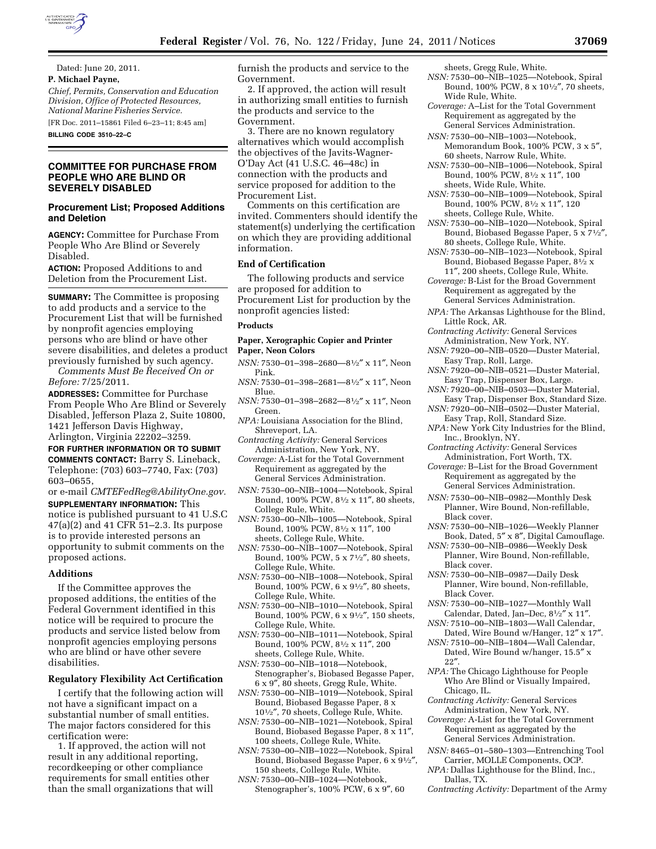

Dated: June 20, 2011.

## **P. Michael Payne,**

*Chief, Permits, Conservation and Education Division, Office of Protected Resources, National Marine Fisheries Service.* 

[FR Doc. 2011–15861 Filed 6–23–11; 8:45 am]

**BILLING CODE 3510–22–C** 

## **COMMITTEE FOR PURCHASE FROM PEOPLE WHO ARE BLIND OR SEVERELY DISABLED**

## **Procurement List; Proposed Additions and Deletion**

**AGENCY:** Committee for Purchase From People Who Are Blind or Severely Disabled.

**ACTION:** Proposed Additions to and Deletion from the Procurement List.

**SUMMARY:** The Committee is proposing to add products and a service to the Procurement List that will be furnished by nonprofit agencies employing persons who are blind or have other severe disabilities, and deletes a product previously furnished by such agency.

*Comments Must Be Received On or Before:* 7/25/2011.

**ADDRESSES:** Committee for Purchase From People Who Are Blind or Severely Disabled, Jefferson Plaza 2, Suite 10800, 1421 Jefferson Davis Highway, Arlington, Virginia 22202–3259.

**FOR FURTHER INFORMATION OR TO SUBMIT COMMENTS CONTACT:** Barry S. Lineback, Telephone: (703) 603–7740, Fax: (703) 603–0655,

or e-mail *[CMTEFedReg@AbilityOne.gov.](mailto:CMTEFedReg@AbilityOne.gov)*  **SUPPLEMENTARY INFORMATION:** This notice is published pursuant to 41 U.S.C 47(a)(2) and 41 CFR 51–2.3. Its purpose is to provide interested persons an opportunity to submit comments on the proposed actions.

#### **Additions**

If the Committee approves the proposed additions, the entities of the Federal Government identified in this notice will be required to procure the products and service listed below from nonprofit agencies employing persons who are blind or have other severe disabilities.

## **Regulatory Flexibility Act Certification**

I certify that the following action will not have a significant impact on a substantial number of small entities. The major factors considered for this certification were:

1. If approved, the action will not result in any additional reporting, recordkeeping or other compliance requirements for small entities other than the small organizations that will furnish the products and service to the Government.

2. If approved, the action will result in authorizing small entities to furnish the products and service to the Government.

3. There are no known regulatory alternatives which would accomplish the objectives of the Javits-Wagner-O'Day Act (41 U.S.C. 46–48c) in connection with the products and service proposed for addition to the Procurement List.

Comments on this certification are invited. Commenters should identify the statement(s) underlying the certification on which they are providing additional information.

#### **End of Certification**

The following products and service are proposed for addition to Procurement List for production by the nonprofit agencies listed:

## **Products**

## **Paper, Xerographic Copier and Printer Paper, Neon Colors**

- *NSN:* 7530–01–398–2680—81⁄2″ x 11″, Neon Pink.
- *NSN:* 7530–01–398–2681—81⁄2″ x 11″, Neon Blue.
- *NSN:* 7530–01–398–2682—81⁄2″ x 11″, Neon Green.
- *NPA:* Louisiana Association for the Blind, Shreveport, LA.
- *Contracting Activity:* General Services Administration, New York, NY.
- *Coverage:* A-List for the Total Government Requirement as aggregated by the General Services Administration.
- *NSN:* 7530–00–NIB–1004—Notebook, Spiral Bound, 100% PCW, 81⁄2 x 11″, 80 sheets, College Rule, White.
- *NSN:* 7530–00–NIb–1005—Notebook, Spiral Bound, 100% PCW, 81⁄2 x 11″, 100 sheets, College Rule, White.
- *NSN:* 7530–00–NIB–1007—Notebook, Spiral Bound, 100% PCW, 5 x 71⁄2″, 80 sheets, College Rule, White.
- *NSN:* 7530–00–NIB–1008—Notebook, Spiral Bound, 100% PCW, 6 x 91⁄2″, 80 sheets, College Rule, White.
- *NSN:* 7530–00–NIB–1010—Notebook, Spiral Bound, 100% PCW, 6 x 91⁄2″, 150 sheets, College Rule, White.
- *NSN:* 7530–00–NIB–1011—Notebook, Spiral Bound, 100% PCW, 81⁄2 x 11″, 200 sheets, College Rule, White.
- *NSN:* 7530–00–NIB–1018—Notebook, Stenographer's, Biobased Begasse Paper, 6 x 9″, 80 sheets, Gregg Rule, White.
- *NSN:* 7530–00–NIB–1019—Notebook, Spiral Bound, Biobased Begasse Paper, 8 x 101⁄2″, 70 sheets, College Rule, White.
- *NSN:* 7530–00–NIB–1021—Notebook, Spiral Bound, Biobased Begasse Paper, 8 x 11″, 100 sheets, College Rule, White.
- *NSN:* 7530–00–NIB–1022—Notebook, Spiral Bound, Biobased Begasse Paper, 6 x 91⁄2″, 150 sheets, College Rule, White.
- *NSN:* 7530–00–NIB–1024—Notebook, Stenographer's, 100% PCW, 6 x 9″, 60

sheets, Gregg Rule, White.

- *NSN:* 7530–00–NIB–1025—Notebook, Spiral Bound, 100% PCW, 8 x 101⁄2″, 70 sheets, Wide Rule, White.
- *Coverage:* A–List for the Total Government Requirement as aggregated by the General Services Administration.
- *NSN:* 7530–00–NIB–1003—Notebook, Memorandum Book, 100% PCW, 3 x 5″, 60 sheets, Narrow Rule, White.
- *NSN:* 7530–00–NIB–1006—Notebook, Spiral Bound, 100% PCW, 81⁄2 x 11″, 100 sheets, Wide Rule, White.
- *NSN:* 7530–00–NIB–1009—Notebook, Spiral Bound, 100% PCW, 81⁄2 x 11″, 120 sheets, College Rule, White.
- *NSN:* 7530–00–NIB–1020—Notebook, Spiral Bound, Biobased Begasse Paper, 5 x 71⁄2″, 80 sheets, College Rule, White.
- *NSN:* 7530–00–NIB–1023—Notebook, Spiral Bound, Biobased Begasse Paper, 81⁄2 x 11″, 200 sheets, College Rule, White.
- *Coverage:* B-List for the Broad Government Requirement as aggregated by the General Services Administration.
- *NPA:* The Arkansas Lighthouse for the Blind, Little Rock, AR.
- *Contracting Activity:* General Services Administration, New York, NY.
- *NSN:* 7920–00–NIB–0520—Duster Material, Easy Trap, Roll, Large.
- *NSN:* 7920–00–NIB–0521—Duster Material, Easy Trap, Dispenser Box, Large.
- *NSN:* 7920–00–NIB–0503—Duster Material, Easy Trap, Dispenser Box, Standard Size.
- *NSN:* 7920–00–NIB–0502—Duster Material, Easy Trap, Roll, Standard Size.
- *NPA:* New York City Industries for the Blind, Inc., Brooklyn, NY.
- *Contracting Activity:* General Services Administration, Fort Worth, TX.
- *Coverage:* B–List for the Broad Government Requirement as aggregated by the General Services Administration.
- *NSN:* 7530–00–NIB–0982—Monthly Desk Planner, Wire Bound, Non-refillable, Black cover.
- *NSN:* 7530–00–NIB–1026—Weekly Planner Book, Dated, 5″ x 8″, Digital Camouflage.
- *NSN:* 7530–00–NIB–0986—Weekly Desk Planner, Wire Bound, Non-refillable, Black cover.
- *NSN:* 7530–00–NIB–0987—Daily Desk Planner, Wire bound, Non-refillable, Black Cover.
- *NSN:* 7530–00–NIB–1027—Monthly Wall Calendar, Dated, Jan–Dec, 81⁄2″ x 11″.
- *NSN:* 7510–00–NIB–1803—Wall Calendar, Dated, Wire Bound w/Hanger, 12″ x 17″.
- *NSN:* 7510–00–NIB–1804—Wall Calendar, Dated, Wire Bound w/hanger, 15.5″ x 22″.
- *NPA:* The Chicago Lighthouse for People Who Are Blind or Visually Impaired, Chicago, IL.
- *Contracting Activity:* General Services Administration, New York, NY.
- *Coverage:* A-List for the Total Government Requirement as aggregated by the General Services Administration.
- *NSN:* 8465–01–580–1303—Entrenching Tool Carrier, MOLLE Components, OCP.
- *NPA:* Dallas Lighthouse for the Blind, Inc., Dallas, TX.
- *Contracting Activity:* Department of the Army